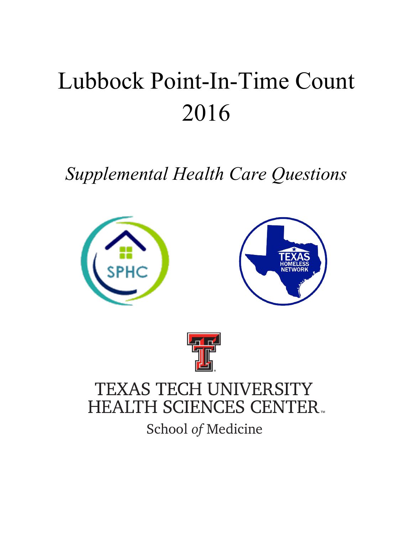# Lubbock Point-In-Time Count 2016

*Supplemental Health Care Questions*





## TEXAS TECH UNIVERSITY **HEALTH SCIENCES CENTER.**

School *of* Medicine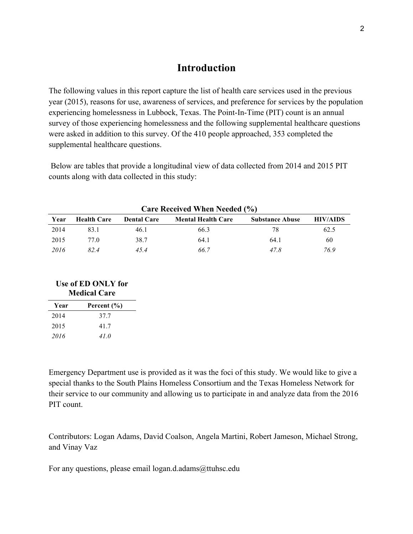## **Introduction**

The following values in this report capture the list of health care services used in the previous year (2015), reasons for use, awareness of services, and preference for services by the population experiencing homelessness in Lubbock, Texas. The Point-In-Time (PIT) count is an annual survey of those experiencing homelessness and the following supplemental healthcare questions were asked in addition to this survey. Of the 410 people approached, 353 completed the supplemental healthcare questions.

Below are tables that provide a longitudinal view of data collected from 2014 and 2015 PIT counts along with data collected in this study:

| <b>Care Received When Needed (%)</b> |                    |                    |                           |                        |                 |  |
|--------------------------------------|--------------------|--------------------|---------------------------|------------------------|-----------------|--|
| Year                                 | <b>Health Care</b> | <b>Dental Care</b> | <b>Mental Health Care</b> | <b>Substance Abuse</b> | <b>HIV/AIDS</b> |  |
| 2014                                 | 83.1               | 46.1               | 66.3                      | 78                     | 62.5            |  |
| 2015                                 | 77 Q               | 38.7               | 64.1                      | 64.1                   | 60              |  |
| 2016                                 | 824                | 45.4               | 66.7                      | 47 8                   | 76.9            |  |

## **Use of ED ONLY for Medical Care**

| Year | Percent (%) |
|------|-------------|
| 2014 | 37.7        |
| 2015 | 417         |
| 2016 | 41.0        |

Emergency Department use is provided as it was the foci of this study. We would like to give a special thanks to the South Plains Homeless Consortium and the Texas Homeless Network for their service to our community and allowing us to participate in and analyze data from the 2016 PIT count.

Contributors: Logan Adams, David Coalson, Angela Martini, Robert Jameson, Michael Strong, and Vinay Vaz

For any questions, please email logan.d.adams@ttuhsc.edu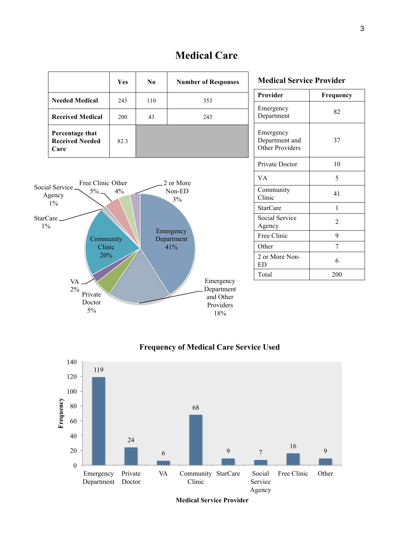|                                                   | <b>Yes</b> | N <sub>0</sub> | <b>Number of Responses</b> |
|---------------------------------------------------|------------|----------------|----------------------------|
| <b>Needed Medical</b>                             | 243        | 110            | 353                        |
| <b>Received Medical</b>                           | 200        | 43             | 243                        |
| Percentage that<br><b>Received Needed</b><br>Care | 82.3       |                |                            |



## **Medical Service Provider Provider Frequency** Emergency Einergency<br>Department 82 Emergency Department and Other Providers 37 Private Doctor 10  $VA$  5 Community Clinic 41 StarCare 1 Social Service Agency 2 Free Clinic 9 Other 7 2 or More Non-<br>ED 6 Total 200



#### **Frequency of Medical Care Service Used**



**Medical Service Provider**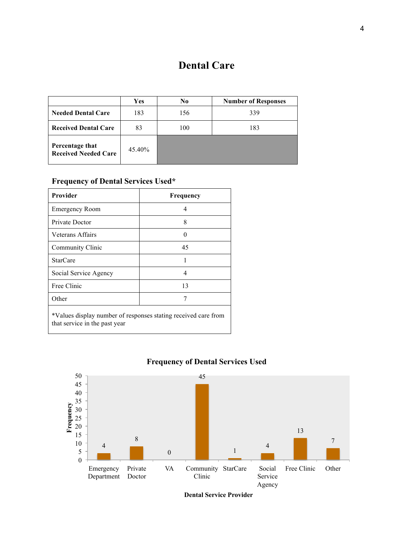## **Dental Care**

|                                                | <b>Yes</b> | N <sub>0</sub> | <b>Number of Responses</b> |
|------------------------------------------------|------------|----------------|----------------------------|
| <b>Needed Dental Care</b>                      | 183        | 156            | 339                        |
| <b>Received Dental Care</b>                    | 83         | 100            | 183                        |
| Percentage that<br><b>Received Needed Care</b> | 45.40%     |                |                            |

#### **Frequency of Dental Services Used\***

| <b>Provider</b>                                                | <b>Frequency</b> |  |  |
|----------------------------------------------------------------|------------------|--|--|
| <b>Emergency Room</b>                                          | 4                |  |  |
| Private Doctor                                                 | 8                |  |  |
| Veterans Affairs                                               | $\mathbf{0}$     |  |  |
| Community Clinic                                               | 45               |  |  |
| <b>StarCare</b>                                                |                  |  |  |
| Social Service Agency                                          | 4                |  |  |
| Free Clinic                                                    | 13               |  |  |
| Other                                                          |                  |  |  |
| *Values display number of responses stating received care from |                  |  |  |

that service in the past year



## **Frequency of Dental Services Used**

**Dental Service Provider**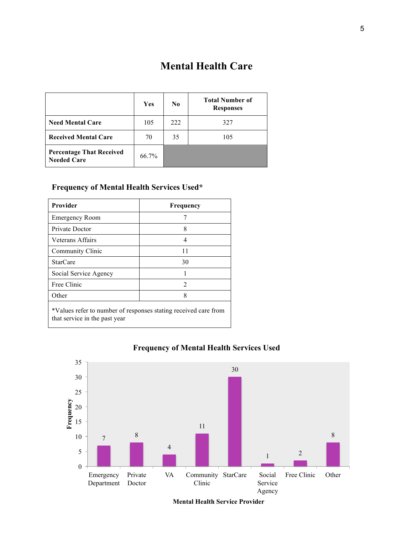## **Mental Health Care**

|                                                       | Yes   | No  | <b>Total Number of</b><br><b>Responses</b> |
|-------------------------------------------------------|-------|-----|--------------------------------------------|
| <b>Need Mental Care</b>                               | 105   | 222 | 327                                        |
| <b>Received Mental Care</b>                           | 70    | 35  | 105                                        |
| <b>Percentage That Received</b><br><b>Needed Care</b> | 66.7% |     |                                            |

## **Frequency of Mental Health Services Used\***

| <b>Provider</b>                                                                                  | Frequency      |  |  |  |
|--------------------------------------------------------------------------------------------------|----------------|--|--|--|
| <b>Emergency Room</b>                                                                            |                |  |  |  |
| Private Doctor                                                                                   | 8              |  |  |  |
| Veterans Affairs                                                                                 | 4              |  |  |  |
| Community Clinic                                                                                 | 11             |  |  |  |
| <b>StarCare</b>                                                                                  | 30             |  |  |  |
| Social Service Agency                                                                            |                |  |  |  |
| Free Clinic                                                                                      | $\mathfrak{D}$ |  |  |  |
| Other                                                                                            | 8              |  |  |  |
| *Values refer to number of responses stating received care from<br>that service in the past year |                |  |  |  |

<sup>7</sup><sup>8</sup> 4 11 30  $1\qquad \qquad 2$ 8 0 5 10 15 20 25 30 35 Emergency Department Private Doctor VA Community StarCare Social Clinic Service Agency Free Clinic Other **Frequency** 

**Frequency of Mental Health Services Used** 

**Mental Health Service Provider**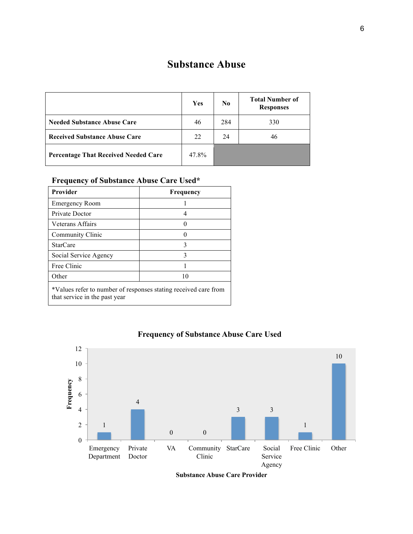## **Substance Abuse**

|                                             | Yes   | $\bf No$ | <b>Total Number of</b><br><b>Responses</b> |
|---------------------------------------------|-------|----------|--------------------------------------------|
| <b>Needed Substance Abuse Care</b>          | 46    | 284      | 330                                        |
| <b>Received Substance Abuse Care</b>        | 22    | 24       | 46                                         |
| <b>Percentage That Received Needed Care</b> | 47.8% |          |                                            |

## **Frequency of Substance Abuse Care Used\***

| Provider                                                                                         | Frequency |  |  |
|--------------------------------------------------------------------------------------------------|-----------|--|--|
| <b>Emergency Room</b>                                                                            |           |  |  |
| Private Doctor                                                                                   | 4         |  |  |
| Veterans Affairs                                                                                 |           |  |  |
| Community Clinic                                                                                 |           |  |  |
| <b>StarCare</b>                                                                                  | 3         |  |  |
| Social Service Agency                                                                            | 3         |  |  |
| Free Clinic                                                                                      |           |  |  |
| Other                                                                                            | 10        |  |  |
| *Values refer to number of responses stating received care from<br>that service in the past year |           |  |  |



#### **Frequency of Substance Abuse Care Used**

**Substance Abuse Care Provider**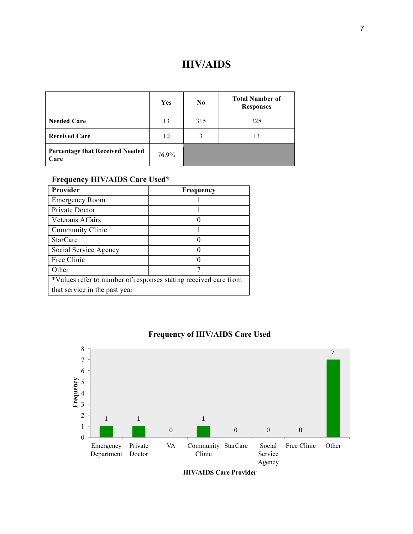## **HIV/AIDS**

|                                                | Yes   | $\bf No$ | <b>Total Number of</b><br><b>Responses</b> |
|------------------------------------------------|-------|----------|--------------------------------------------|
| <b>Needed Care</b>                             | 13    | 315      | 328                                        |
| <b>Received Care</b>                           | 10    | 3        | 13                                         |
| <b>Percentage that Received Needed</b><br>Care | 76.9% |          |                                            |

## **Frequency HIV/AIDS Care Used\***

| <b>Provider</b>                                                 | <b>Frequency</b> |  |  |  |
|-----------------------------------------------------------------|------------------|--|--|--|
| <b>Emergency Room</b>                                           |                  |  |  |  |
| Private Doctor                                                  |                  |  |  |  |
| Veterans Affairs                                                |                  |  |  |  |
| Community Clinic                                                |                  |  |  |  |
| <b>StarCare</b>                                                 | 0                |  |  |  |
| Social Service Agency                                           | 0                |  |  |  |
| Free Clinic                                                     |                  |  |  |  |
| Other                                                           | 7                |  |  |  |
| *Values refer to number of responses stating received care from |                  |  |  |  |
| that service in the past year                                   |                  |  |  |  |



## **Frequency of HIV/AIDS Care Used**

**HIV/AIDS Care Provider**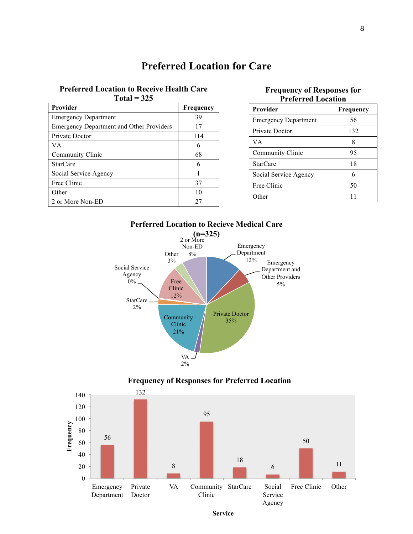## **Preferred Location for Care**

#### **Preferred Location to Receive Health Care Total = 325**

| Provider                                        | Frequency |
|-------------------------------------------------|-----------|
| <b>Emergency Department</b>                     | 39        |
| <b>Emergency Department and Other Providers</b> | 17        |
| Private Doctor                                  | 114       |
| VА                                              | 6         |
| Community Clinic                                | 68        |
| <b>StarCare</b>                                 | 6         |
| Social Service Agency                           |           |
| Free Clinic                                     | 37        |
| Other                                           | 10        |
| 2 or More Non-ED                                | 27        |

#### **Frequency of Responses for Preferred Location**

| <b>Provider</b>             | Frequency |
|-----------------------------|-----------|
| <b>Emergency Department</b> | 56        |
| Private Doctor              | 132       |
| VA.                         | 8         |
| Community Clinic            | 95        |
| <b>StarCare</b>             | 18        |
| Social Service Agency       | 6         |
| Free Clinic                 | 50        |
| Other                       |           |





2%

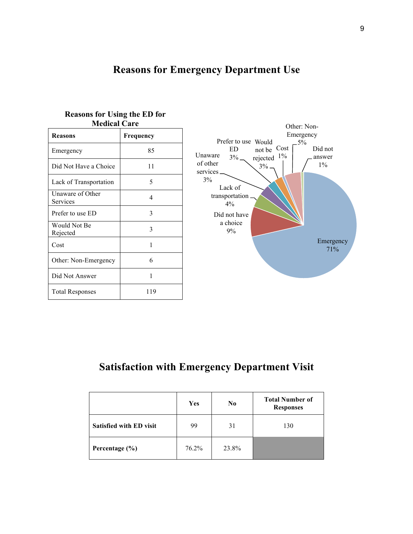## **Reasons for Emergency Department Use**

| <b>Reasons</b>               | Frequency |
|------------------------------|-----------|
| Emergency                    | 85        |
| Did Not Have a Choice        | 11        |
| Lack of Transportation       | 5         |
| Unaware of Other<br>Services | 4         |
| Prefer to use ED             | 3         |
| Would Not Be<br>Rejected     | 3         |
| Cost                         | 1         |
| Other: Non-Emergency         | 6         |
| Did Not Answer               | 1         |
| <b>Total Responses</b>       | 119       |

#### **Reasons for Using the ED for Medical Care**



## **Satisfaction with Emergency Department Visit**

|                                | Yes   | $\bf No$ | <b>Total Number of</b><br><b>Responses</b> |
|--------------------------------|-------|----------|--------------------------------------------|
| <b>Satisfied with ED visit</b> | 99    | 31       | 130                                        |
| Percentage $(\% )$             | 76.2% | 23.8%    |                                            |